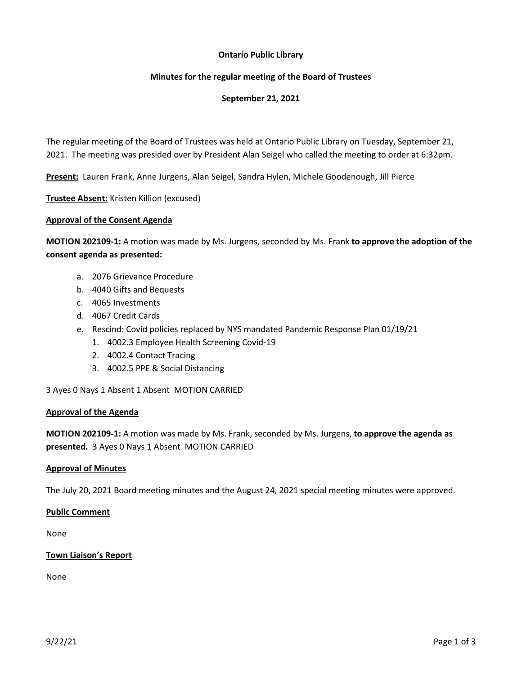# **Ontario Public Library**

# **Minutes for the regular meeting of the Board of Trustees**

# **September 21, 2021**

The regular meeting of the Board of Trustees was held at Ontario Public Library on Tuesday, September 21, 2021. The meeting was presided over by President Alan Seigel who called the meeting to order at 6:32pm.

**Present:** Lauren Frank, Anne Jurgens, Alan Seigel, Sandra Hylen, Michele Goodenough, Jill Pierce

**Trustee Absent:** Kristen Killion (excused)

### **Approval of the Consent Agenda**

**MOTION 202109-1:** A motion was made by Ms. Jurgens, seconded by Ms. Frank **to approve the adoption of the consent agenda as presented:**

- a. 2076 Grievance Procedure
- b. 4040 Gifts and Bequests
- c. 4065 Investments
- d. 4067 Credit Cards
- e. Rescind: Covid policies replaced by NYS mandated Pandemic Response Plan 01/19/21
	- 1. 4002.3 Employee Health Screening Covid-19
	- 2. 4002.4 Contact Tracing
	- 3. 4002.5 PPE & Social Distancing

3 Ayes 0 Nays 1 Absent 1 Absent MOTION CARRIED

### **Approval of the Agenda**

**MOTION 202109-1:** A motion was made by Ms. Frank, seconded by Ms. Jurgens, **to approve the agenda as presented.** 3 Ayes 0 Nays 1 Absent MOTION CARRIED

### **Approval of Minutes**

The July 20, 2021 Board meeting minutes and the August 24, 2021 special meeting minutes were approved.

### **Public Comment**

None

### **Town Liaison's Report**

None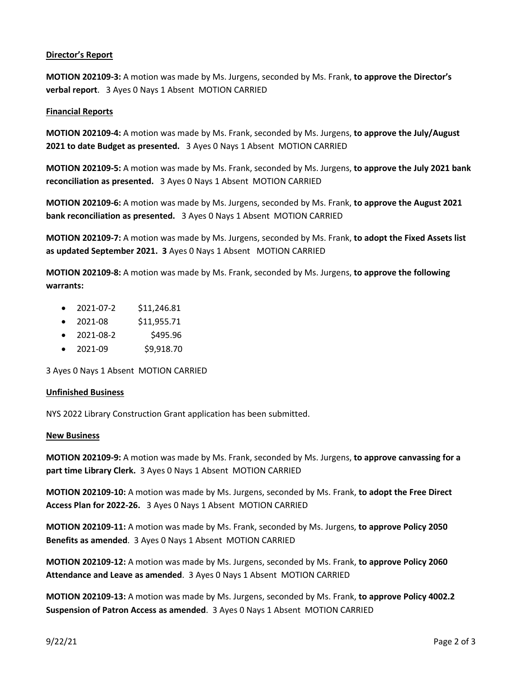# **Director's Report**

**MOTION 202109-3:** A motion was made by Ms. Jurgens, seconded by Ms. Frank, **to approve the Director's verbal report**. 3 Ayes 0 Nays 1 Absent MOTION CARRIED

### **Financial Reports**

**MOTION 202109-4:** A motion was made by Ms. Frank, seconded by Ms. Jurgens, **to approve the July/August 2021 to date Budget as presented.** 3 Ayes 0 Nays 1 Absent MOTION CARRIED

**MOTION 202109-5:** A motion was made by Ms. Frank, seconded by Ms. Jurgens, **to approve the July 2021 bank reconciliation as presented.** 3 Ayes 0 Nays 1 Absent MOTION CARRIED

**MOTION 202109-6:** A motion was made by Ms. Jurgens, seconded by Ms. Frank, **to approve the August 2021 bank reconciliation as presented.** 3 Ayes 0 Nays 1 Absent MOTION CARRIED

**MOTION 202109-7:** A motion was made by Ms. Jurgens, seconded by Ms. Frank, **to adopt the Fixed Assets list as updated September 2021. 3** Ayes 0 Nays 1 Absent MOTION CARRIED

**MOTION 202109-8:** A motion was made by Ms. Frank, seconded by Ms. Jurgens, **to approve the following warrants:**

- 2021-07-2 \$11,246.81
- 2021-08  $$11,955.71$
- $\bullet$  2021-08-2 \$495.96
- 2021-09 \$9,918.70

3 Ayes 0 Nays 1 Absent MOTION CARRIED

### **Unfinished Business**

NYS 2022 Library Construction Grant application has been submitted.

### **New Business**

**MOTION 202109-9:** A motion was made by Ms. Frank, seconded by Ms. Jurgens, **to approve canvassing for a part time Library Clerk.** 3 Ayes 0 Nays 1 Absent MOTION CARRIED

**MOTION 202109-10:** A motion was made by Ms. Jurgens, seconded by Ms. Frank, **to adopt the Free Direct Access Plan for 2022-26.** 3 Ayes 0 Nays 1 Absent MOTION CARRIED

**MOTION 202109-11:** A motion was made by Ms. Frank, seconded by Ms. Jurgens, **to approve Policy 2050 Benefits as amended**. 3 Ayes 0 Nays 1 Absent MOTION CARRIED

**MOTION 202109-12:** A motion was made by Ms. Jurgens, seconded by Ms. Frank, **to approve Policy 2060 Attendance and Leave as amended**. 3 Ayes 0 Nays 1 Absent MOTION CARRIED

**MOTION 202109-13:** A motion was made by Ms. Jurgens, seconded by Ms. Frank, **to approve Policy 4002.2 Suspension of Patron Access as amended**. 3 Ayes 0 Nays 1 Absent MOTION CARRIED